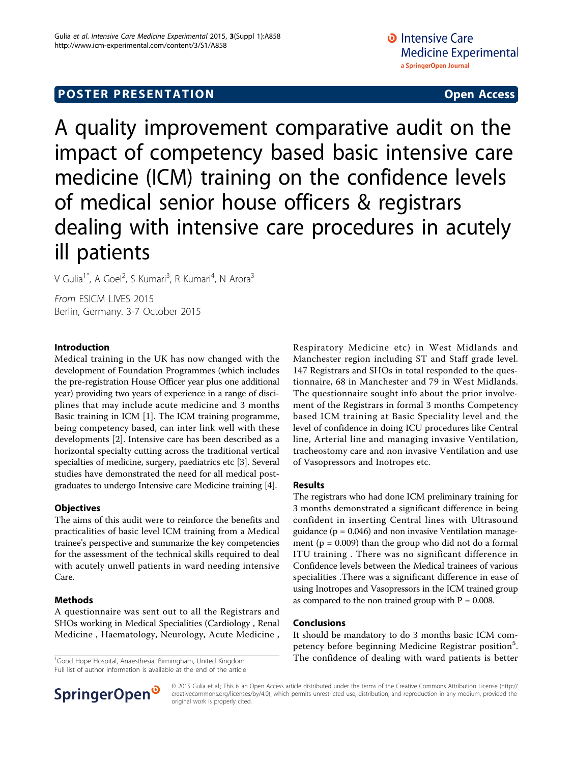# **POSTER PRESENTATION CONSUMING ACCESS**

A quality improvement comparative audit on the impact of competency based basic intensive care medicine (ICM) training on the confidence levels of medical senior house officers & registrars dealing with intensive care procedures in acutely ill patients

V Gulia<sup>1\*</sup>, A Goel<sup>2</sup>, S Kumari<sup>3</sup>, R Kumari<sup>4</sup>, N Arora<sup>3</sup>

From ESICM LIVES 2015 Berlin, Germany. 3-7 October 2015

### Introduction

Medical training in the UK has now changed with the development of Foundation Programmes (which includes the pre-registration House Officer year plus one additional year) providing two years of experience in a range of disciplines that may include acute medicine and 3 months Basic training in ICM [[1](#page-1-0)]. The ICM training programme, being competency based, can inter link well with these developments [[2\]](#page-1-0). Intensive care has been described as a horizontal specialty cutting across the traditional vertical specialties of medicine, surgery, paediatrics etc [\[3](#page-1-0)]. Several studies have demonstrated the need for all medical postgraduates to undergo Intensive care Medicine training [\[4\]](#page-1-0).

# **Objectives**

The aims of this audit were to reinforce the benefits and practicalities of basic level ICM training from a Medical trainee's perspective and summarize the key competencies for the assessment of the technical skills required to deal with acutely unwell patients in ward needing intensive Care.

# Methods

A questionnaire was sent out to all the Registrars and SHOs working in Medical Specialities (Cardiology , Renal Medicine , Haematology, Neurology, Acute Medicine ,

Full list of author information is available at the end of the article

Respiratory Medicine etc) in West Midlands and Manchester region including ST and Staff grade level. 147 Registrars and SHOs in total responded to the questionnaire, 68 in Manchester and 79 in West Midlands. The questionnaire sought info about the prior involvement of the Registrars in formal 3 months Competency based ICM training at Basic Speciality level and the level of confidence in doing ICU procedures like Central line, Arterial line and managing invasive Ventilation, tracheostomy care and non invasive Ventilation and use of Vasopressors and Inotropes etc.

### Results

The registrars who had done ICM preliminary training for 3 months demonstrated a significant difference in being confident in inserting Central lines with Ultrasound guidance ( $p = 0.046$ ) and non invasive Ventilation management ( $p = 0.009$ ) than the group who did not do a formal ITU training . There was no significant difference in Confidence levels between the Medical trainees of various specialities .There was a significant difference in ease of using Inotropes and Vasopressors in the ICM trained group as compared to the non trained group with  $P = 0.008$ .

### Conclusions

It should be mandatory to do 3 months basic ICM competency before beginning Medicine Registrar position<sup>5</sup>. <sup>1</sup>Good Hope Hospital, Anaesthesia, Birmingham, United Kingdom **The confidence of dealing with ward patients is better** 



© 2015 Gulia et al.; This is an Open Access article distributed under the terms of the Creative Commons Attribution License [\(http://](http://creativecommons.org/licenses/by/4.0) [creativecommons.org/licenses/by/4.0](http://creativecommons.org/licenses/by/4.0)), which permits unrestricted use, distribution, and reproduction in any medium, provided the original work is properly cited.